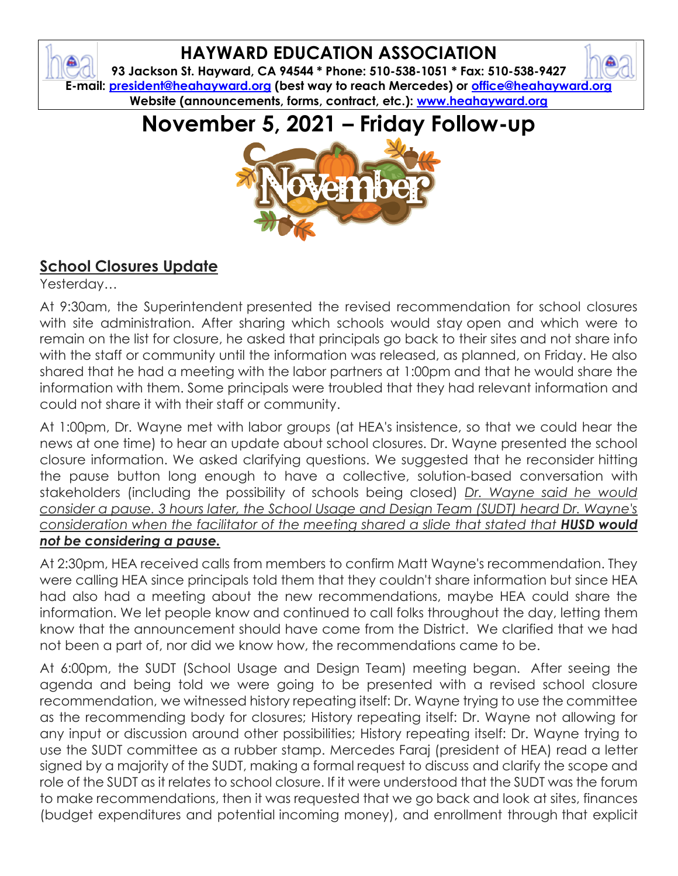## **HAYWARD EDUCATION ASSOCIATION**

 $\bullet$ 

**93 Jackson St. Hayward, CA 94544 \* Phone: 510-538-1051 \* Fax: 510-538-9427 E-mail: [president@heahayward.org](mailto:president@heahayward.org) (best way to reach Mercedes) or [office@heahayward.org](mailto:office@heahayward.org) Website (announcements, forms, contract, etc.): [www.heahayward.org](http://www.heahayward.org/)**

# **November 5, 2021 – Friday Follow-up**



## **School Closures Update**

Yesterday…

At 9:30am, the Superintendent presented the revised recommendation for school closures with site administration. After sharing which schools would stay open and which were to remain on the list for closure, he asked that principals go back to their sites and not share info with the staff or community until the information was released, as planned, on Friday. He also shared that he had a meeting with the labor partners at 1:00pm and that he would share the information with them. Some principals were troubled that they had relevant information and could not share it with their staff or community.

At 1:00pm, Dr. Wayne met with labor groups (at HEA's insistence, so that we could hear the news at one time) to hear an update about school closures. Dr. Wayne presented the school closure information. We asked clarifying questions. We suggested that he reconsider hitting the pause button long enough to have a collective, solution-based conversation with stakeholders (including the possibility of schools being closed) *Dr. Wayne said he would consider a pause. 3 hours later, the School Usage and Design Team (SUDT) heard Dr. Wayne's consideration when the facilitator of the meeting shared a slide that stated that HUSD would not be considering a pause.*

At 2:30pm, HEA received calls from members to confirm Matt Wayne's recommendation. They were calling HEA since principals told them that they couldn't share information but since HEA had also had a meeting about the new recommendations, maybe HEA could share the information. We let people know and continued to call folks throughout the day, letting them know that the announcement should have come from the District. We clarified that we had not been a part of, nor did we know how, the recommendations came to be.

At 6:00pm, the SUDT (School Usage and Design Team) meeting began. After seeing the agenda and being told we were going to be presented with a revised school closure recommendation, we witnessed history repeating itself: Dr. Wayne trying to use the committee as the recommending body for closures; History repeating itself: Dr. Wayne not allowing for any input or discussion around other possibilities; History repeating itself: Dr. Wayne trying to use the SUDT committee as a rubber stamp. Mercedes Faraj (president of HEA) read a letter signed by a majority of the SUDT, making a formal request to discuss and clarify the scope and role of the SUDT as it relates to school closure. If it were understood that the SUDT was the forum to make recommendations, then it was requested that we go back and look at sites, finances (budget expenditures and potential incoming money), and enrollment through that explicit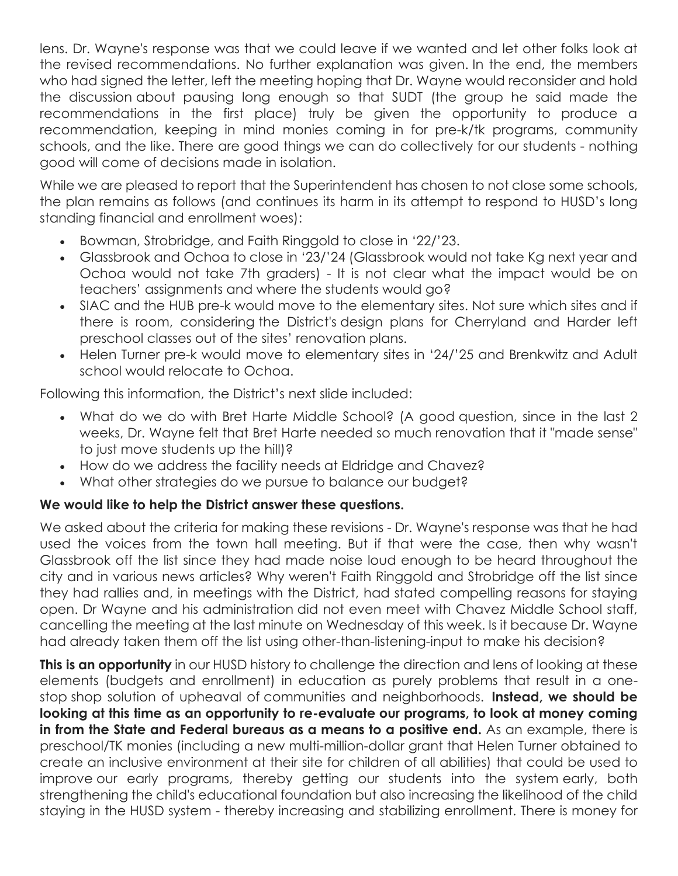lens. Dr. Wayne's response was that we could leave if we wanted and let other folks look at the revised recommendations. No further explanation was given. In the end, the members who had signed the letter, left the meeting hoping that Dr. Wayne would reconsider and hold the discussion about pausing long enough so that SUDT (the group he said made the recommendations in the first place) truly be given the opportunity to produce a recommendation, keeping in mind monies coming in for pre-k/tk programs, community schools, and the like. There are good things we can do collectively for our students - nothing good will come of decisions made in isolation.

While we are pleased to report that the Superintendent has chosen to not close some schools, the plan remains as follows (and continues its harm in its attempt to respond to HUSD's long standing financial and enrollment woes):

- Bowman, Strobridge, and Faith Ringgold to close in '22/'23.
- Glassbrook and Ochoa to close in '23/'24 (Glassbrook would not take Kg next year and Ochoa would not take 7th graders) - It is not clear what the impact would be on teachers' assignments and where the students would go?
- SIAC and the HUB pre-k would move to the elementary sites. Not sure which sites and if there is room, considering the District's design plans for Cherryland and Harder left preschool classes out of the sites' renovation plans.
- Helen Turner pre-k would move to elementary sites in '24/'25 and Brenkwitz and Adult school would relocate to Ochoa.

Following this information, the District's next slide included:

- What do we do with Bret Harte Middle School? (A good question, since in the last 2 weeks, Dr. Wayne felt that Bret Harte needed so much renovation that it "made sense" to just move students up the hill)?
- How do we address the facility needs at Eldridge and Chavez?
- What other strategies do we pursue to balance our budget?

### **We would like to help the District answer these questions.**

We asked about the criteria for making these revisions - Dr. Wayne's response was that he had used the voices from the town hall meeting. But if that were the case, then why wasn't Glassbrook off the list since they had made noise loud enough to be heard throughout the city and in various news articles? Why weren't Faith Ringgold and Strobridge off the list since they had rallies and, in meetings with the District, had stated compelling reasons for staying open. Dr Wayne and his administration did not even meet with Chavez Middle School staff, cancelling the meeting at the last minute on Wednesday of this week. Is it because Dr. Wayne had already taken them off the list using other-than-listening-input to make his decision?

**This is an opportunity** in our HUSD history to challenge the direction and lens of looking at these elements (budgets and enrollment) in education as purely problems that result in a onestop shop solution of upheaval of communities and neighborhoods. **Instead, we should be looking at this time as an opportunity to re-evaluate our programs, to look at money coming in from the State and Federal bureaus as a means to a positive end.** As an example, there is preschool/TK monies (including a new multi-million-dollar grant that Helen Turner obtained to create an inclusive environment at their site for children of all abilities) that could be used to improve our early programs, thereby getting our students into the system early, both strengthening the child's educational foundation but also increasing the likelihood of the child staying in the HUSD system - thereby increasing and stabilizing enrollment. There is money for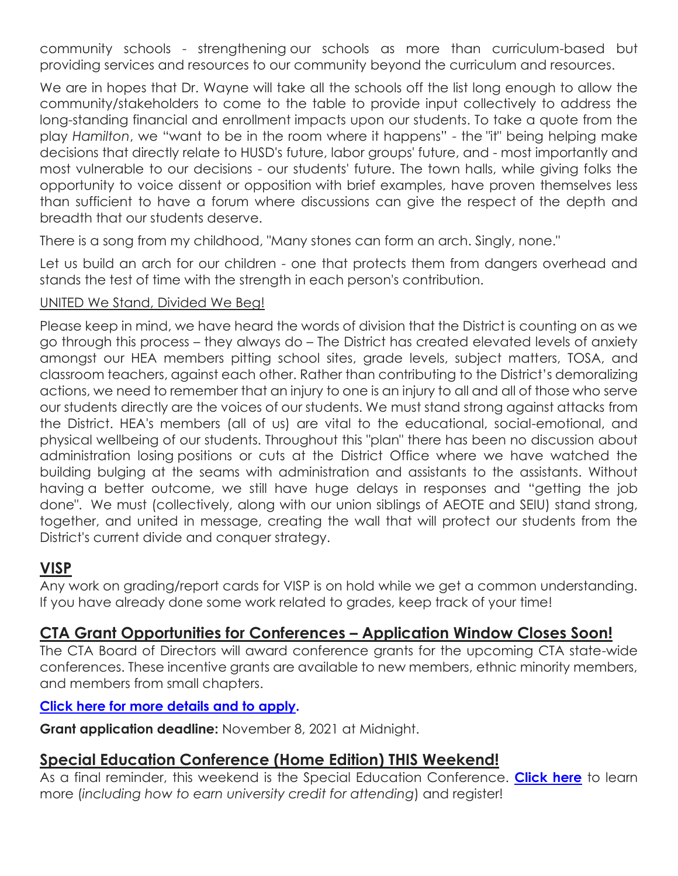community schools - strengthening our schools as more than curriculum-based but providing services and resources to our community beyond the curriculum and resources.

We are in hopes that Dr. Wayne will take all the schools off the list long enough to allow the community/stakeholders to come to the table to provide input collectively to address the long-standing financial and enrollment impacts upon our students. To take a quote from the play *Hamilton*, we "want to be in the room where it happens" - the "it" being helping make decisions that directly relate to HUSD's future, labor groups' future, and - most importantly and most vulnerable to our decisions - our students' future. The town halls, while giving folks the opportunity to voice dissent or opposition with brief examples, have proven themselves less than sufficient to have a forum where discussions can give the respect of the depth and breadth that our students deserve.

There is a song from my childhood, "Many stones can form an arch. Singly, none."

Let us build an arch for our children - one that protects them from dangers overhead and stands the test of time with the strength in each person's contribution.

#### UNITED We Stand, Divided We Beg!

Please keep in mind, we have heard the words of division that the District is counting on as we go through this process – they always do – The District has created elevated levels of anxiety amongst our HEA members pitting school sites, grade levels, subject matters, TOSA, and classroom teachers, against each other. Rather than contributing to the District's demoralizing actions, we need to remember that an injury to one is an injury to all and all of those who serve our students directly are the voices of our students. We must stand strong against attacks from the District. HEA's members (all of us) are vital to the educational, social-emotional, and physical wellbeing of our students. Throughout this "plan" there has been no discussion about administration losing positions or cuts at the District Office where we have watched the building bulging at the seams with administration and assistants to the assistants. Without having a better outcome, we still have huge delays in responses and "getting the job done". We must (collectively, along with our union siblings of AEOTE and SEIU) stand strong, together, and united in message, creating the wall that will protect our students from the District's current divide and conquer strategy.

## **VISP**

Any work on grading/report cards for VISP is on hold while we get a common understanding. If you have already done some work related to grades, keep track of your time!

## **CTA Grant Opportunities for Conferences – Application Window Closes Soon!**

The CTA Board of Directors will award conference grants for the upcoming CTA state-wide conferences. These incentive grants are available to new members, ethnic minority members, and members from small chapters.

#### **[Click here for more details and to apply.](https://www.cta.org/conferences/grants)**

**Grant application deadline:** November 8, 2021 at Midnight.

## **Special Education Conference (Home Edition) THIS Weekend!**

As a final reminder, this weekend is the Special Education Conference. **[Click here](https://www.cta.org/event/2021-fall-special-education-conference-home-edition)** to learn more (*including how to earn university credit for attending*) and register!